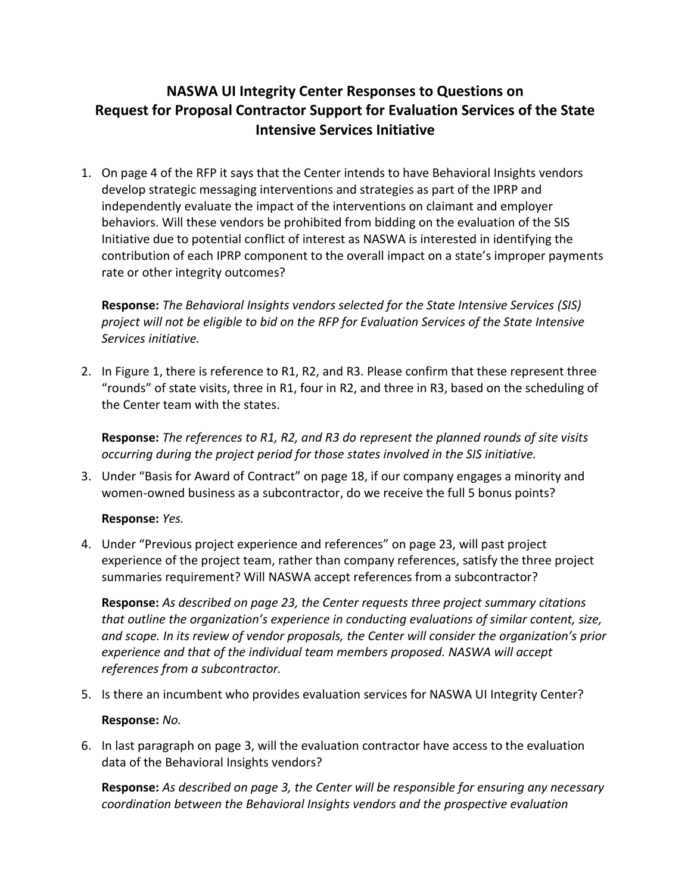## **NASWA UI Integrity Center Responses to Questions on Request for Proposal Contractor Support for Evaluation Services of the State Intensive Services Initiative**

1. On page 4 of the RFP it says that the Center intends to have Behavioral Insights vendors develop strategic messaging interventions and strategies as part of the IPRP and independently evaluate the impact of the interventions on claimant and employer behaviors. Will these vendors be prohibited from bidding on the evaluation of the SIS Initiative due to potential conflict of interest as NASWA is interested in identifying the contribution of each IPRP component to the overall impact on a state's improper payments rate or other integrity outcomes?

**Response:** *The Behavioral Insights vendors selected for the State Intensive Services (SIS) project will not be eligible to bid on the RFP for Evaluation Services of the State Intensive Services initiative.*

2. In Figure 1, there is reference to R1, R2, and R3. Please confirm that these represent three "rounds" of state visits, three in R1, four in R2, and three in R3, based on the scheduling of the Center team with the states.

**Response:** *The references to R1, R2, and R3 do represent the planned rounds of site visits occurring during the project period for those states involved in the SIS initiative.* 

3. Under "Basis for Award of Contract" on page 18, if our company engages a minority and women-owned business as a subcontractor, do we receive the full 5 bonus points?

## **Response:** *Yes.*

4. Under "Previous project experience and references" on page 23, will past project experience of the project team, rather than company references, satisfy the three project summaries requirement? Will NASWA accept references from a subcontractor?

**Response:** *As described on page 23, the Center requests three project summary citations that outline the organization's experience in conducting evaluations of similar content, size, and scope. In its review of vendor proposals, the Center will consider the organization's prior experience and that of the individual team members proposed. NASWA will accept references from a subcontractor.* 

5. Is there an incumbent who provides evaluation services for NASWA UI Integrity Center?

## **Response:** *No.*

6. In last paragraph on page 3, will the evaluation contractor have access to the evaluation data of the Behavioral Insights vendors?

**Response:** *As described on page 3, the Center will be responsible for ensuring any necessary coordination between the Behavioral Insights vendors and the prospective evaluation*